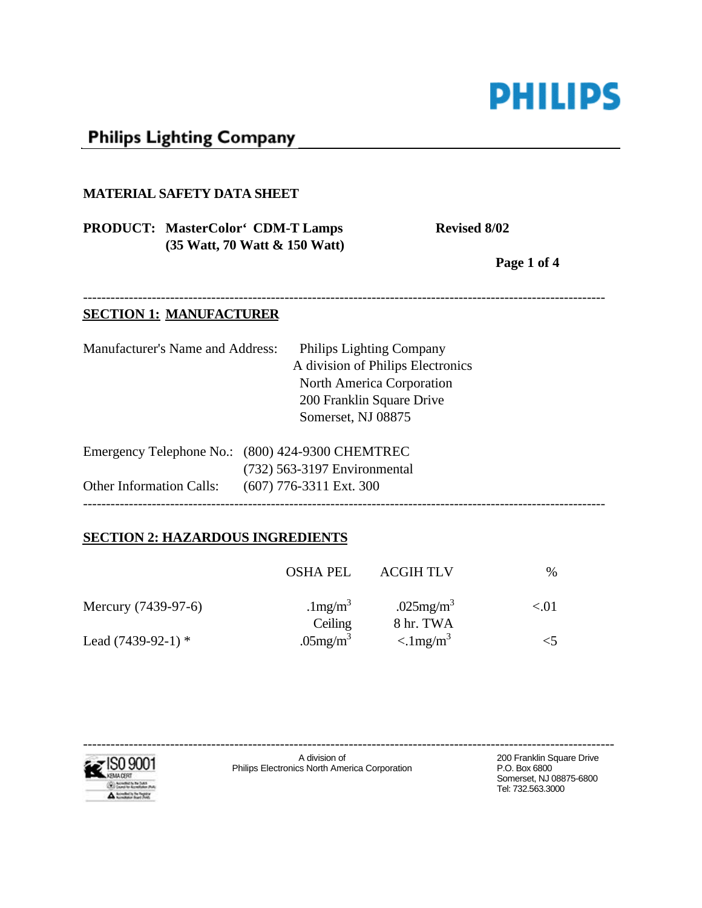

# **Philips Lighting Company**

#### **MATERIAL SAFETY DATA SHEET**

# **PRODUCT:** MasterColor<sup>4</sup> CDM-T Lamps Revised 8/02 **(35 Watt, 70 Watt & 150 Watt)**

**Page 1 of 4** 

### ------------------------------------------------------------------------------------------------------------------

#### **SECTION 1: MANUFACTURER**

| <b>Manufacturer's Name and Address:</b> | Philips Lighting Company                         |
|-----------------------------------------|--------------------------------------------------|
|                                         | A division of Philips Electronics                |
|                                         | <b>North America Corporation</b>                 |
|                                         | 200 Franklin Square Drive                        |
|                                         | Somerset, NJ 08875                               |
|                                         | Emergency Telephone No.: (800) 424-9300 CHEMTREC |
|                                         | (732) 563-3197 Environmental                     |
| <b>Other Information Calls:</b>         | $(607)$ 776-3311 Ext. 300                        |
|                                         |                                                  |

# **SECTION 2: HAZARDOUS INGREDIENTS**

|                      | <b>OSHA PEL</b>                    | <b>ACGIH TLV</b>                               | $\%$ |
|----------------------|------------------------------------|------------------------------------------------|------|
| Mercury (7439-97-6)  | .1 $mg/m^3$                        | .025 $mg/m3$                                   | < 01 |
| Lead $(7439-92-1)$ * | Ceiling<br>$.05$ mg/m <sup>3</sup> | 8 hr. TWA<br>$\langle 1 \text{mg/m}^3 \rangle$ |      |



Somerset, NJ 08875-6800 Tel: 732.563.3000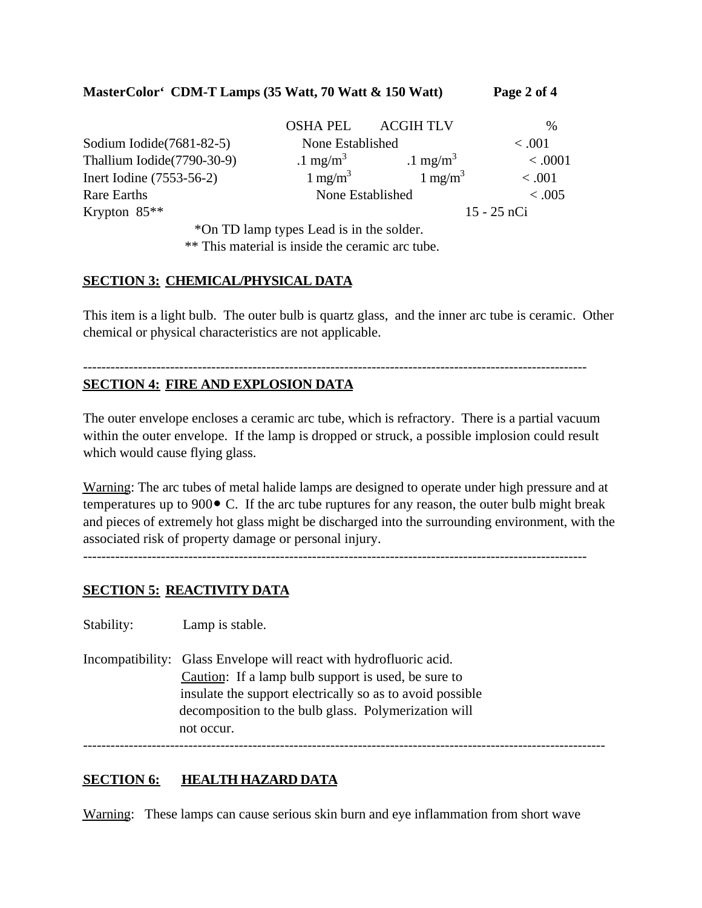### **MasterColor' CDM-T Lamps (35 Watt, 70 Watt & 150 Watt) Page 2 of 4**

|                            | <b>OSHA PEL</b>    | <b>ACGIH TLV</b>   | $\%$          |
|----------------------------|--------------------|--------------------|---------------|
| Sodium Iodide (7681-82-5)  | None Established   |                    | < 0.001       |
| Thallium Iodide(7790-30-9) | $1 \text{ mg/m}^3$ | $1 \text{ mg/m}^3$ | < .0001       |
| Inert Iodine (7553-56-2)   | $1 \text{ mg/m}^3$ | $1 \text{ mg/m}^3$ | < 0.001       |
| Rare Earths                | None Established   |                    | < 0.005       |
| Krypton $85**$             |                    |                    | $15 - 25$ nCi |

\*On TD lamp types Lead is in the solder.

\*\* This material is inside the ceramic arc tube.

### **SECTION 3: CHEMICAL/PHYSICAL DATA**

This item is a light bulb. The outer bulb is quartz glass, and the inner arc tube is ceramic. Other chemical or physical characteristics are not applicable.

--------------------------------------------------------------------------------------------------------------

# **SECTION 4: FIRE AND EXPLOSION DATA**

The outer envelope encloses a ceramic arc tube, which is refractory. There is a partial vacuum within the outer envelope. If the lamp is dropped or struck, a possible implosion could result which would cause flying glass.

Warning: The arc tubes of metal halide lamps are designed to operate under high pressure and at temperatures up to 900• C. If the arc tube ruptures for any reason, the outer bulb might break and pieces of extremely hot glass might be discharged into the surrounding environment, with the associated risk of property damage or personal injury.

--------------------------------------------------------------------------------------------------------------

### **SECTION 5: REACTIVITY DATA**

Stability: Lamp is stable.

------------------------------------------------------------------------------------------------------------------ Incompatibility: Glass Envelope will react with hydrofluoric acid. Caution: If a lamp bulb support is used, be sure to insulate the support electrically so as to avoid possible decomposition to the bulb glass. Polymerization will not occur.

#### **SECTION 6: HEALTH HAZARD DATA**

Warning: These lamps can cause serious skin burn and eye inflammation from short wave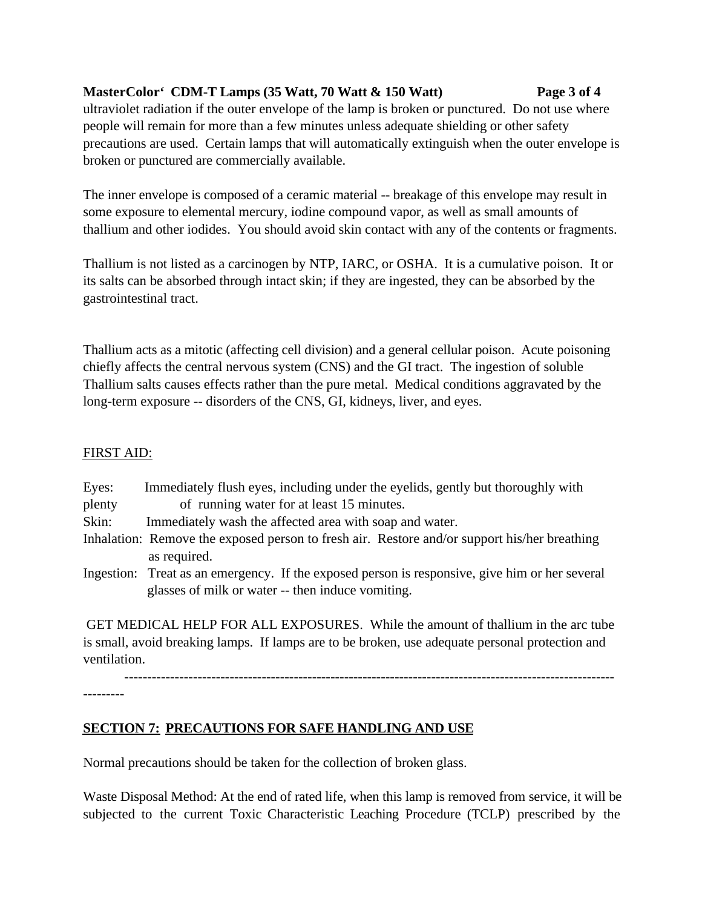# **MasterColor' CDM-T Lamps (35 Watt, 70 Watt & 150 Watt) Page 3 of 4**

ultraviolet radiation if the outer envelope of the lamp is broken or punctured. Do not use where people will remain for more than a few minutes unless adequate shielding or other safety precautions are used. Certain lamps that will automatically extinguish when the outer envelope is broken or punctured are commercially available.

The inner envelope is composed of a ceramic material -- breakage of this envelope may result in some exposure to elemental mercury, iodine compound vapor, as well as small amounts of thallium and other iodides. You should avoid skin contact with any of the contents or fragments.

Thallium is not listed as a carcinogen by NTP, IARC, or OSHA. It is a cumulative poison. It or its salts can be absorbed through intact skin; if they are ingested, they can be absorbed by the gastrointestinal tract.

Thallium acts as a mitotic (affecting cell division) and a general cellular poison. Acute poisoning chiefly affects the central nervous system (CNS) and the GI tract. The ingestion of soluble Thallium salts causes effects rather than the pure metal. Medical conditions aggravated by the long-term exposure -- disorders of the CNS, GI, kidneys, liver, and eyes.

# FIRST AID:

| Eyes:  | Immediately flush eyes, including under the eyelids, gently but thoroughly with                                                                     |
|--------|-----------------------------------------------------------------------------------------------------------------------------------------------------|
| plenty | of running water for at least 15 minutes.                                                                                                           |
| Skin:  | Immediately wash the affected area with soap and water.                                                                                             |
|        | Inhalation: Remove the exposed person to fresh air. Restore and/or support his/her breathing                                                        |
|        | as required.                                                                                                                                        |
|        | Ingestion: Treat as an emergency. If the exposed person is responsive, give him or her several<br>glasses of milk or water -- then induce vomiting. |
|        |                                                                                                                                                     |

 GET MEDICAL HELP FOR ALL EXPOSURES. While the amount of thallium in the arc tube is small, avoid breaking lamps. If lamps are to be broken, use adequate personal protection and ventilation.

-----------------------------------------------------------------------------------------------------------

---------

# **SECTION 7: PRECAUTIONS FOR SAFE HANDLING AND USE**

Normal precautions should be taken for the collection of broken glass.

Waste Disposal Method: At the end of rated life, when this lamp is removed from service, it will be subjected to the current Toxic Characteristic Leaching Procedure (TCLP) prescribed by the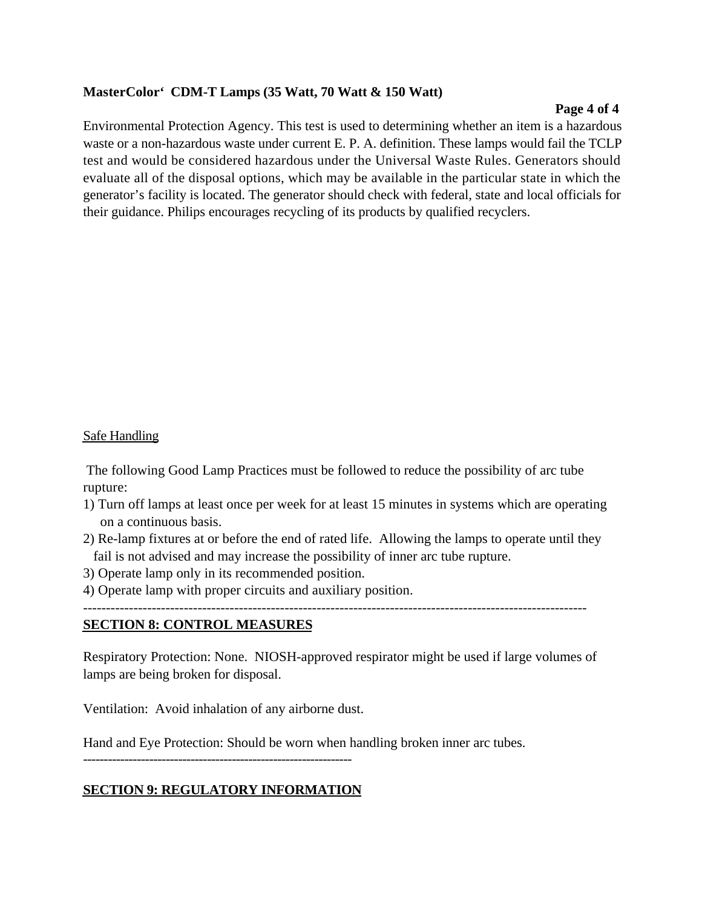### **MasterColor' CDM-T Lamps (35 Watt, 70 Watt & 150 Watt)**

#### **Page 4 of 4**

Environmental Protection Agency. This test is used to determining whether an item is a hazardous waste or a non-hazardous waste under current E. P. A. definition. These lamps would fail the TCLP test and would be considered hazardous under the Universal Waste Rules. Generators should evaluate all of the disposal options, which may be available in the particular state in which the generator's facility is located. The generator should check with federal, state and local officials for their guidance. Philips encourages recycling of its products by qualified recyclers.

#### Safe Handling

 The following Good Lamp Practices must be followed to reduce the possibility of arc tube rupture:

- 1) Turn off lamps at least once per week for at least 15 minutes in systems which are operating on a continuous basis.
- 2) Re-lamp fixtures at or before the end of rated life. Allowing the lamps to operate until they fail is not advised and may increase the possibility of inner arc tube rupture.
- 3) Operate lamp only in its recommended position.
- 4) Operate lamp with proper circuits and auxiliary position.

--------------------------------------------------------------------------------------------------------------

#### **SECTION 8: CONTROL MEASURES**

Respiratory Protection: None. NIOSH-approved respirator might be used if large volumes of lamps are being broken for disposal.

Ventilation: Avoid inhalation of any airborne dust.

Hand and Eye Protection: Should be worn when handling broken inner arc tubes.

-----------------------------------------------------------------

### **SECTION 9: REGULATORY INFORMATION**